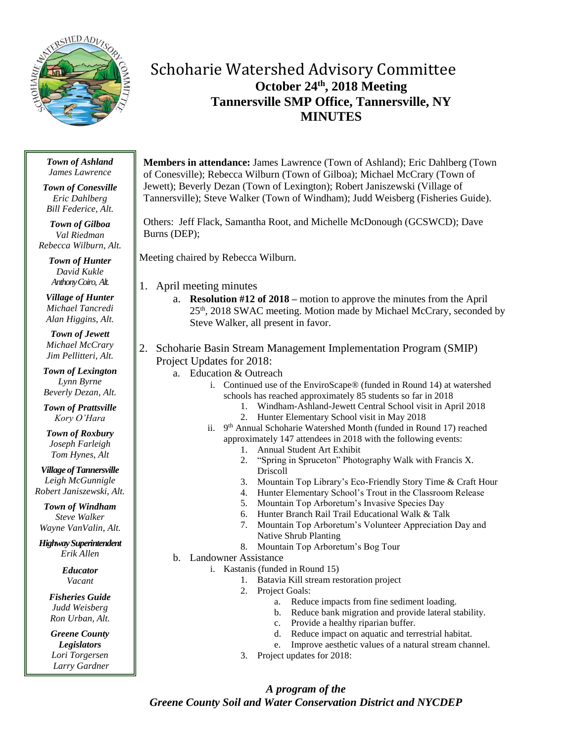

# Schoharie Watershed Advisory Committee **October 24th , 2018 Meeting Tannersville SMP Office, Tannersville, NY MINUTES**

#### *Town of Ashland James Lawrence*

*Town of Conesville Eric Dahlberg Bill Federice, Alt.*

*Town of Gilboa Val Riedman Rebecca Wilburn, Alt.*

> *Town of Hunter David Kukle Anthony Coiro, Alt.*

*Village of Hunter Michael Tancredi Alan Higgins, Alt.*

*Town of Jewett Michael McCrary Jim Pellitteri, Alt.*

*Town of Lexington Lynn Byrne Beverly Dezan, Alt.*

*Town of Prattsville Kory O'Hara*

*Town of Roxbury Joseph Farleigh Tom Hynes, Alt*

*Village of Tannersville Leigh McGunnigle*

*Robert Janiszewski, Alt.*

*Town of Windham Steve Walker Wayne VanValin, Alt.*

*Highway Superintendent Erik Allen*

> *Educator Vacant*

*Fisheries Guide Judd Weisberg Ron Urban, Alt.*

*Greene County Legislators Lori Torgersen Larry Gardner* **Members in attendance:** James Lawrence (Town of Ashland); Eric Dahlberg (Town of Conesville); Rebecca Wilburn (Town of Gilboa); Michael McCrary (Town of Jewett); Beverly Dezan (Town of Lexington); Robert Janiszewski (Village of Tannersville); Steve Walker (Town of Windham); Judd Weisberg (Fisheries Guide).

Others: Jeff Flack, Samantha Root, and Michelle McDonough (GCSWCD); Dave Burns (DEP);

Meeting chaired by Rebecca Wilburn.

- 1. April meeting minutes
	- a. **Resolution #12 of 2018 –** motion to approve the minutes from the April 25<sup>th</sup>, 2018 SWAC meeting. Motion made by Michael McCrary, seconded by Steve Walker, all present in favor.
- 2. Schoharie Basin Stream Management Implementation Program (SMIP) Project Updates for 2018:
	- a. Education & Outreach
		- i. Continued use of the EnviroScape® (funded in Round 14) at watershed schools has reached approximately 85 students so far in 2018
			- 1. Windham-Ashland-Jewett Central School visit in April 2018
			- 2. Hunter Elementary School visit in May 2018
		- ii. 9<sup>th</sup> Annual Schoharie Watershed Month (funded in Round 17) reached approximately 147 attendees in 2018 with the following events:
			- 1. Annual Student Art Exhibit
			- 2. "Spring in Spruceton" Photography Walk with Francis X. Driscoll
			- 3. Mountain Top Library's Eco-Friendly Story Time & Craft Hour
			- 4. Hunter Elementary School's Trout in the Classroom Release
			- 5. Mountain Top Arboretum's Invasive Species Day
			- 6. Hunter Branch Rail Trail Educational Walk & Talk
			- 7. Mountain Top Arboretum's Volunteer Appreciation Day and Native Shrub Planting
			- 8. Mountain Top Arboretum's Bog Tour
	- b. Landowner Assistance
		- i. Kastanis (funded in Round 15)
			- 1. Batavia Kill stream restoration project
			- 2. Project Goals:
				- a. Reduce impacts from fine sediment loading.
				- b. Reduce bank migration and provide lateral stability.
				- c. Provide a healthy riparian buffer.
				- d. Reduce impact on aquatic and terrestrial habitat.
				- e. Improve aesthetic values of a natural stream channel.
			- 3. Project updates for 2018:

# *A program of the Greene County Soil and Water Conservation District and NYCDEP*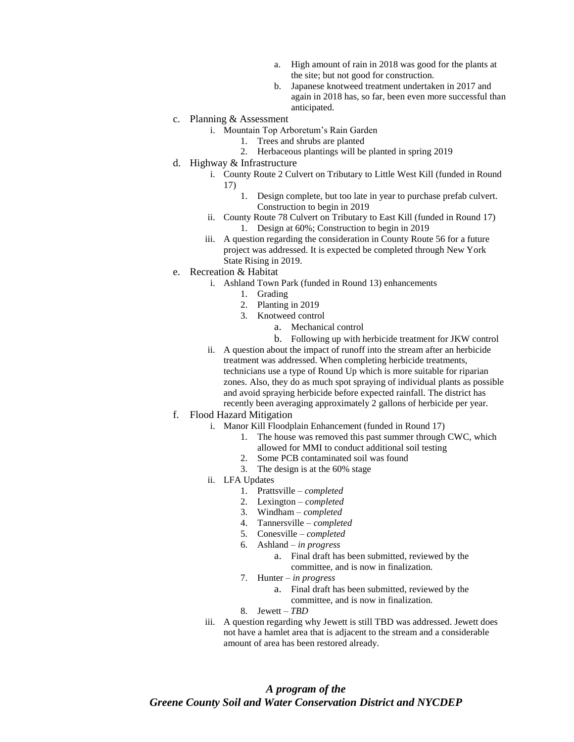- a. High amount of rain in 2018 was good for the plants at the site; but not good for construction.
- b. Japanese knotweed treatment undertaken in 2017 and again in 2018 has, so far, been even more successful than anticipated.
- c. Planning & Assessment
	- i. Mountain Top Arboretum's Rain Garden
		- 1. Trees and shrubs are planted
		- 2. Herbaceous plantings will be planted in spring 2019
- d. Highway & Infrastructure
	- i. County Route 2 Culvert on Tributary to Little West Kill (funded in Round 17)
		- 1. Design complete, but too late in year to purchase prefab culvert. Construction to begin in 2019
	- ii. County Route 78 Culvert on Tributary to East Kill (funded in Round 17) 1. Design at 60%; Construction to begin in 2019
	- iii. A question regarding the consideration in County Route 56 for a future project was addressed. It is expected be completed through New York State Rising in 2019.
- e. Recreation & Habitat
	- i. Ashland Town Park (funded in Round 13) enhancements
		- 1. Grading
		- 2. Planting in 2019
		- 3. Knotweed control
			- a. Mechanical control
			- b. Following up with herbicide treatment for JKW control
	- ii. A question about the impact of runoff into the stream after an herbicide treatment was addressed. When completing herbicide treatments, technicians use a type of Round Up which is more suitable for riparian zones. Also, they do as much spot spraying of individual plants as possible and avoid spraying herbicide before expected rainfall. The district has recently been averaging approximately 2 gallons of herbicide per year.
- f. Flood Hazard Mitigation
	- i. Manor Kill Floodplain Enhancement (funded in Round 17)
		- 1. The house was removed this past summer through CWC, which
			- allowed for MMI to conduct additional soil testing
		- 2. Some PCB contaminated soil was found
		- 3. The design is at the 60% stage
	- ii. LFA Updates
		- 1. Prattsville *completed*
			- 2. Lexington *completed*
			- 3. Windham *completed*
		- 4. Tannersville *completed*
		- 5. Conesville *completed*
		- 6. Ashland *in progress*
			- a. Final draft has been submitted, reviewed by the committee, and is now in finalization.
		- 7. Hunter *in progress*
			- a. Final draft has been submitted, reviewed by the committee, and is now in finalization.
		- 8. Jewett *TBD*
	- iii. A question regarding why Jewett is still TBD was addressed. Jewett does not have a hamlet area that is adjacent to the stream and a considerable amount of area has been restored already.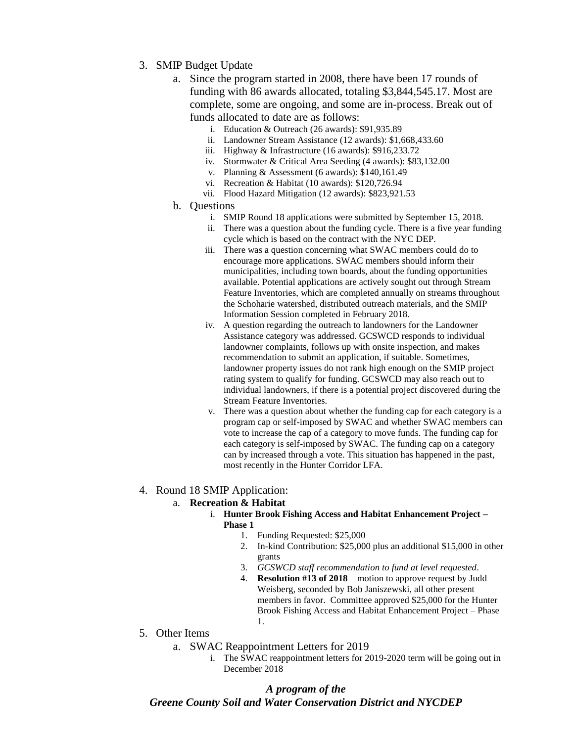- 3. SMIP Budget Update
	- a. Since the program started in 2008, there have been 17 rounds of funding with 86 awards allocated, totaling \$3,844,545.17. Most are complete, some are ongoing, and some are in-process. Break out of funds allocated to date are as follows:
		- i. Education & Outreach (26 awards): \$91,935.89
		- ii. Landowner Stream Assistance (12 awards): \$1,668,433.60
		- iii. Highway & Infrastructure (16 awards): \$916,233.72
		- iv. Stormwater & Critical Area Seeding (4 awards): \$83,132.00
		- v. Planning & Assessment (6 awards): \$140,161.49
		- vi. Recreation & Habitat (10 awards): \$120,726.94
		- vii. Flood Hazard Mitigation (12 awards): \$823,921.53
	- b. Questions
		- i. SMIP Round 18 applications were submitted by September 15, 2018.
		- ii. There was a question about the funding cycle. There is a five year funding cycle which is based on the contract with the NYC DEP.
		- iii. There was a question concerning what SWAC members could do to encourage more applications. SWAC members should inform their municipalities, including town boards, about the funding opportunities available. Potential applications are actively sought out through Stream Feature Inventories, which are completed annually on streams throughout the Schoharie watershed, distributed outreach materials, and the SMIP Information Session completed in February 2018.
		- iv. A question regarding the outreach to landowners for the Landowner Assistance category was addressed. GCSWCD responds to individual landowner complaints, follows up with onsite inspection, and makes recommendation to submit an application, if suitable. Sometimes, landowner property issues do not rank high enough on the SMIP project rating system to qualify for funding. GCSWCD may also reach out to individual landowners, if there is a potential project discovered during the Stream Feature Inventories.
		- v. There was a question about whether the funding cap for each category is a program cap or self-imposed by SWAC and whether SWAC members can vote to increase the cap of a category to move funds. The funding cap for each category is self-imposed by SWAC. The funding cap on a category can by increased through a vote. This situation has happened in the past, most recently in the Hunter Corridor LFA.

# 4. Round 18 SMIP Application:

### a. **Recreation & Habitat**

- i. **Hunter Brook Fishing Access and Habitat Enhancement Project – Phase 1**
	- 1. Funding Requested: \$25,000
	- 2. In-kind Contribution: \$25,000 plus an additional \$15,000 in other grants
	- 3. *GCSWCD staff recommendation to fund at level requested.*
	- 4. **Resolution #13 of 2018** motion to approve request by Judd Weisberg, seconded by Bob Janiszewski, all other present members in favor. Committee approved \$25,000 for the Hunter Brook Fishing Access and Habitat Enhancement Project – Phase 1.
- 5. Other Items
	- a. SWAC Reappointment Letters for 2019
		- i. The SWAC reappointment letters for 2019-2020 term will be going out in December 2018

## *A program of the Greene County Soil and Water Conservation District and NYCDEP*